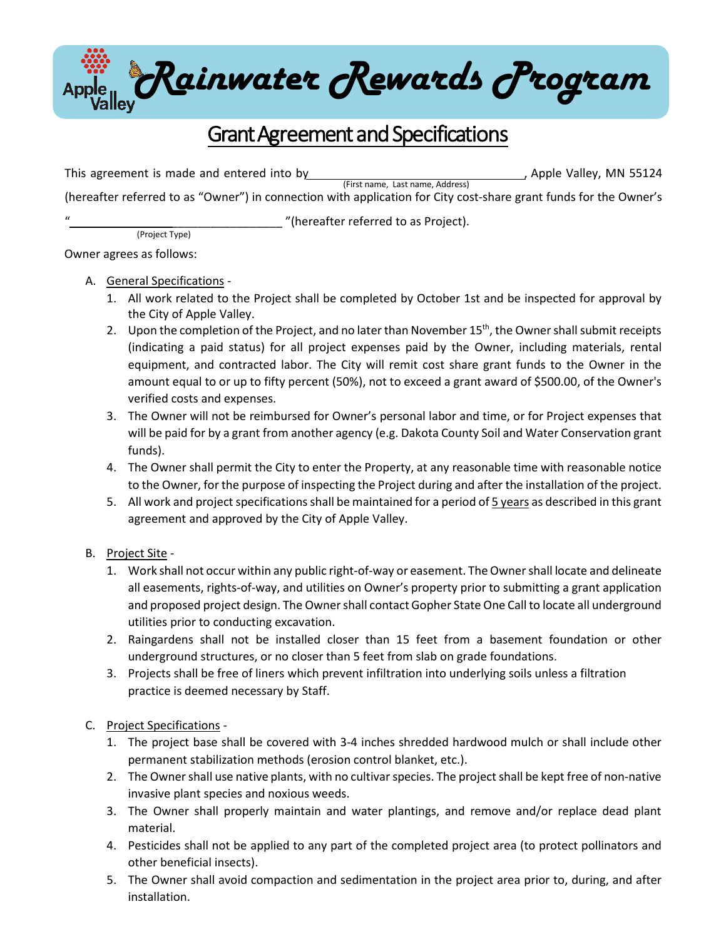

## Grant Agreement and Specifications

This agreement is made and entered into by  $\mu$  , Apple Valley, MN 55124 (First name, Last name, Address) (hereafter referred to as "Owner") in connection with application for City cost-share grant funds for the Owner's

(Project Type)

" (hereafter referred to as Project).

Owner agrees as follows:

## A. General Specifications -

- 1. All work related to the Project shall be completed by October 1st and be inspected for approval by the City of Apple Valley.
- 2. Upon the completion of the Project, and no later than November 15<sup>th</sup>, the Owner shall submit receipts (indicating a paid status) for all project expenses paid by the Owner, including materials, rental equipment, and contracted labor. The City will remit cost share grant funds to the Owner in the amount equal to or up to fifty percent (50%), not to exceed a grant award of \$500.00, of the Owner's verified costs and expenses.
- 3. The Owner will not be reimbursed for Owner's personal labor and time, or for Project expenses that will be paid for by a grant from another agency (e.g. Dakota County Soil and Water Conservation grant funds).
- 4. The Owner shall permit the City to enter the Property, at any reasonable time with reasonable notice to the Owner, for the purpose of inspecting the Project during and after the installation of the project.
- 5. All work and project specifications shall be maintained for a period of 5 years as described in this grant agreement and approved by the City of Apple Valley.

## B. Project Site -

- 1. Work shall not occur within any public right-of-way or easement. The Ownershall locate and delineate all easements, rights-of-way, and utilities on Owner's property prior to submitting a grant application and proposed project design. The Owner shall contact Gopher State One Call to locate all underground utilities prior to conducting excavation.
- 2. Raingardens shall not be installed closer than 15 feet from a basement foundation or other underground structures, or no closer than 5 feet from slab on grade foundations.
- 3. Projects shall be free of liners which prevent infiltration into underlying soils unless a filtration practice is deemed necessary by Staff.

## C. Project Specifications -

- 1. The project base shall be covered with 3-4 inches shredded hardwood mulch or shall include other permanent stabilization methods (erosion control blanket, etc.).
- 2. The Owner shall use native plants, with no cultivar species. The project shall be kept free of non-native invasive plant species and noxious weeds.
- 3. The Owner shall properly maintain and water plantings, and remove and/or replace dead plant material.
- 4. Pesticides shall not be applied to any part of the completed project area (to protect pollinators and other beneficial insects).
- 5. The Owner shall avoid compaction and sedimentation in the project area prior to, during, and after installation.